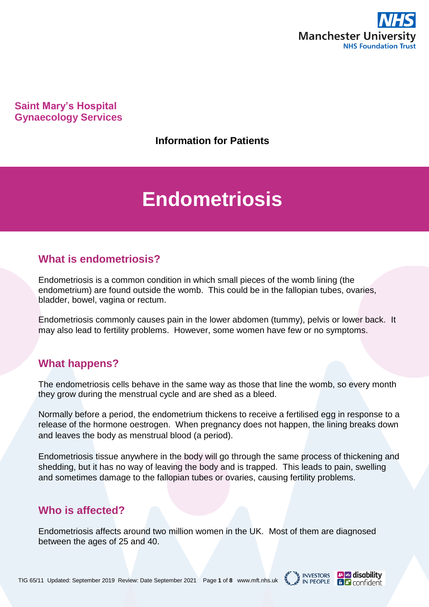

**Saint Mary's Hospital Gynaecology Services**

**Information for Patients**

# **Endometriosis**

### **What is endometriosis?**

Endometriosis is a common condition in which small pieces of the womb lining (the endometrium) are found outside the womb. This could be in the fallopian tubes, ovaries, bladder, bowel, vagina or rectum.

Endometriosis commonly causes pain in the lower abdomen (tummy), pelvis or lower back. It may also lead to fertility problems. However, some women have few or no symptoms.

# **What happens?**

The endometriosis cells behave in the same way as those that line the womb, so every month they grow during the menstrual cycle and are shed as a bleed.

Normally before a period, the endometrium thickens to receive a fertilised egg in response to a release of the hormone oestrogen. When pregnancy does not happen, the lining breaks down and leaves the body as menstrual blood (a period).

Endometriosis tissue anywhere in the body will go through the same process of thickening and shedding, but it has no way of leaving the body and is trapped. This leads to pain, swelling and sometimes damage to the fallopian tubes or ovaries, causing fertility problems.

### **Who is affected?**

Endometriosis affects around two million women in the UK. Most of them are diagnosed between the ages of 25 and 40.

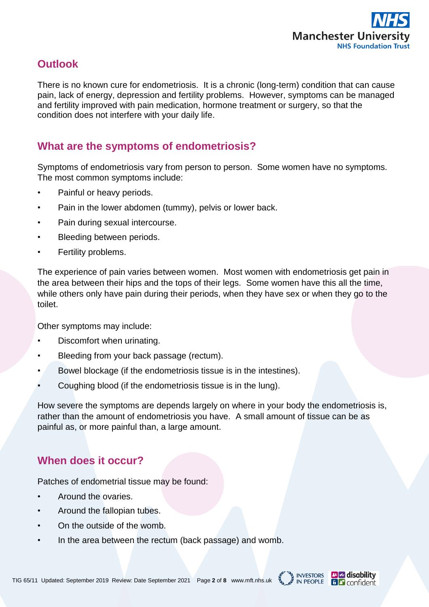

# **Outlook**

There is no known cure for endometriosis. It is a chronic (long-term) condition that can cause pain, lack of energy, depression and fertility problems. However, symptoms can be managed and fertility improved with pain medication, hormone treatment or surgery, so that the condition does not interfere with your daily life.

## **What are the symptoms of endometriosis?**

Symptoms of endometriosis vary from person to person. Some women have no symptoms. The most common symptoms include:

- Painful or heavy periods.
- Pain in the lower abdomen (tummy), pelvis or lower back.
- Pain during sexual intercourse.
- Bleeding between periods.
- Fertility problems.

The experience of pain varies between women. Most women with endometriosis get pain in the area between their hips and the tops of their legs. Some women have this all the time, while others only have pain during their periods, when they have sex or when they go to the toilet.

Other symptoms may include:

- Discomfort when urinating.
- Bleeding from your back passage (rectum).
- Bowel blockage (if the endometriosis tissue is in the intestines).
- Coughing blood (if the endometriosis tissue is in the lung).

How severe the symptoms are depends largely on where in your body the endometriosis is, rather than the amount of endometriosis you have. A small amount of tissue can be as painful as, or more painful than, a large amount.

### **When does it occur?**

Patches of endometrial tissue may be found:

- Around the ovaries.
- Around the fallopian tubes.
- On the outside of the womb.
- In the area between the rectum (back passage) and womb.



**B Confident**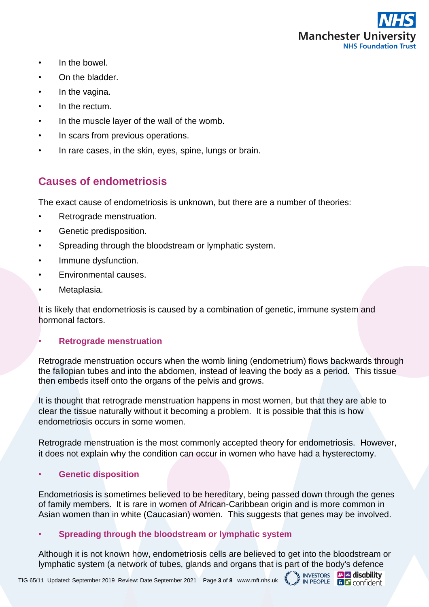

**INVESTORS EVER** disability

**BL** confident

**IN PEOPLE** 

- In the bowel.
- On the bladder.
- In the vagina.
- In the rectum.
- In the muscle layer of the wall of the womb.
- In scars from previous operations.
- In rare cases, in the skin, eyes, spine, lungs or brain.

### **Causes of endometriosis**

The exact cause of endometriosis is unknown, but there are a number of theories:

- Retrograde menstruation.
- Genetic predisposition.
- Spreading through the bloodstream or lymphatic system.
- Immune dysfunction.
- Environmental causes.
- Metaplasia.

It is likely that endometriosis is caused by a combination of genetic, immune system and hormonal factors.

### • **Retrograde menstruation**

Retrograde menstruation occurs when the womb lining (endometrium) flows backwards through the fallopian tubes and into the abdomen, instead of leaving the body as a period. This tissue then embeds itself onto the organs of the pelvis and grows.

It is thought that retrograde menstruation happens in most women, but that they are able to clear the tissue naturally without it becoming a problem. It is possible that this is how endometriosis occurs in some women.

Retrograde menstruation is the most commonly accepted theory for endometriosis. However, it does not explain why the condition can occur in women who have had a hysterectomy.

### • **Genetic disposition**

Endometriosis is sometimes believed to be hereditary, being passed down through the genes of family members. It is rare in women of African-Caribbean origin and is more common in Asian women than in white (Caucasian) women. This suggests that genes may be involved.

### • **Spreading through the bloodstream or lymphatic system**

Although it is not known how, endometriosis cells are believed to get into the bloodstream or lymphatic system (a network of tubes, glands and organs that is part of the body's defence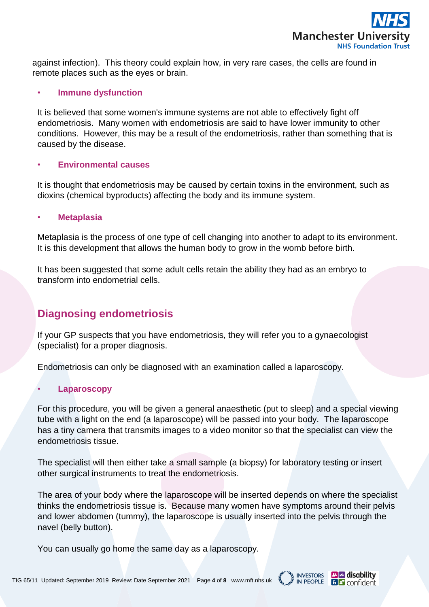

against infection). This theory could explain how, in very rare cases, the cells are found in remote places such as the eyes or brain.

### • **Immune dysfunction**

It is believed that some women's immune systems are not able to effectively fight off endometriosis. Many women with endometriosis are said to have lower immunity to other conditions. However, this may be a result of the endometriosis, rather than something that is caused by the disease.

### • **Environmental causes**

It is thought that endometriosis may be caused by certain toxins in the environment, such as dioxins (chemical byproducts) affecting the body and its immune system.

### • **Metaplasia**

Metaplasia is the process of one type of cell changing into another to adapt to its environment. It is this development that allows the human body to grow in the womb before birth.

It has been suggested that some adult cells retain the ability they had as an embryo to transform into endometrial cells.

### **Diagnosing endometriosis**

If your GP suspects that you have endometriosis, they will refer you to a gynaecologist (specialist) for a proper diagnosis.

Endometriosis can only be diagnosed with an examination called a laparoscopy.

### • **Laparoscopy**

For this procedure, you will be given a general anaesthetic (put to sleep) and a special viewing tube with a light on the end (a laparoscope) will be passed into your body. The laparoscope has a tiny camera that transmits images to a video monitor so that the specialist can view the endometriosis tissue.

The specialist will then either take a small sample (a biopsy) for laboratory testing or insert other surgical instruments to treat the endometriosis.

The area of your body where the laparoscope will be inserted depends on where the specialist thinks the endometriosis tissue is. Because many women have symptoms around their pelvis and lower abdomen (tummy), the laparoscope is usually inserted into the pelvis through the navel (belly button).

You can usually go home the same day as a laparoscopy.



**6** *P* confident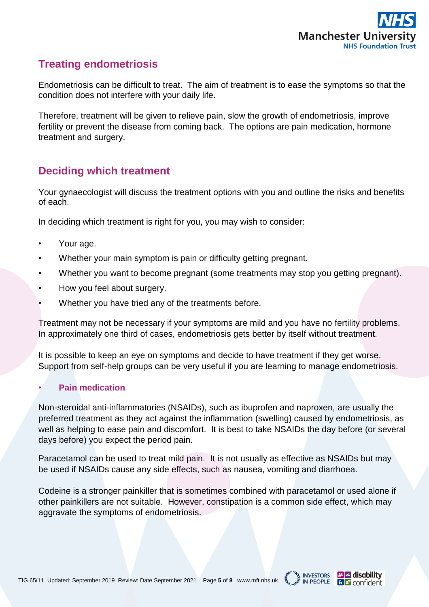

# **Treating endometriosis**

Endometriosis can be difficult to treat. The aim of treatment is to ease the symptoms so that the condition does not interfere with your daily life.

Therefore, treatment will be given to relieve pain, slow the growth of endometriosis, improve fertility or prevent the disease from coming back. The options are pain medication, hormone treatment and surgery.

## **Deciding which treatment**

Your gynaecologist will discuss the treatment options with you and outline the risks and benefits of each.

In deciding which treatment is right for you, you may wish to consider:

- Your age.
- Whether your main symptom is pain or difficulty getting pregnant.
- Whether you want to become pregnant (some treatments may stop you getting pregnant).
- How you feel about surgery.
- Whether you have tried any of the treatments before.

Treatment may not be necessary if your symptoms are mild and you have no fertility problems. In approximately one third of cases, endometriosis gets better by itself without treatment.

It is possible to keep an eye on symptoms and decide to have treatment if they get worse. Support from self-help groups can be very useful if you are learning to manage endometriosis.

### • **Pain medication**

Non-steroidal anti-inflammatories (NSAIDs), such as ibuprofen and naproxen, are usually the preferred treatment as they act against the inflammation (swelling) caused by endometriosis, as well as helping to ease pain and discomfort. It is best to take NSAIDs the day before (or several days before) you expect the period pain.

Paracetamol can be used to treat mild pain. It is not usually as effective as NSAIDs but may be used if NSAIDs cause any side effects, such as nausea, vomiting and diarrhoea.

Codeine is a stronger painkiller that is sometimes combined with paracetamol or used alone if other painkillers are not suitable. However, constipation is a common side effect, which may aggravate the symptoms of endometriosis.

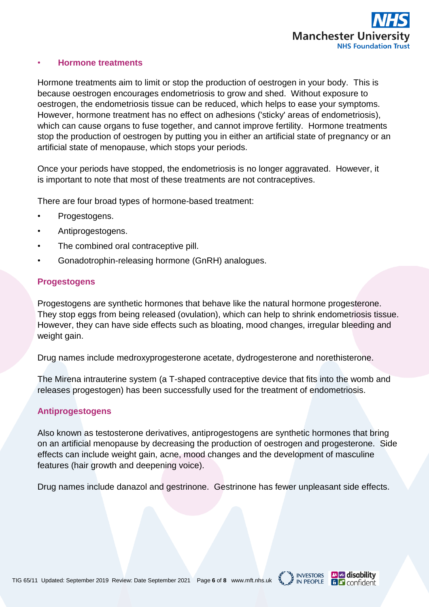

#### • **Hormone treatments**

Hormone treatments aim to limit or stop the production of oestrogen in your body. This is because oestrogen encourages endometriosis to grow and shed. Without exposure to oestrogen, the endometriosis tissue can be reduced, which helps to ease your symptoms. However, hormone treatment has no effect on adhesions ('sticky' areas of endometriosis), which can cause organs to fuse together, and cannot improve fertility. Hormone treatments stop the production of oestrogen by putting you in either an artificial state of pregnancy or an artificial state of menopause, which stops your periods.

Once your periods have stopped, the endometriosis is no longer aggravated. However, it is important to note that most of these treatments are not contraceptives.

There are four broad types of hormone-based treatment:

- Progestogens.
- Antiprogestogens.
- The combined oral contraceptive pill.
- Gonadotrophin-releasing hormone (GnRH) analogues.

#### **Progestogens**

Progestogens are synthetic hormones that behave like the natural hormone progesterone. They stop eggs from being released (ovulation), which can help to shrink endometriosis tissue. However, they can have side effects such as bloating, mood changes, irregular bleeding and weight gain.

Drug names include medroxyprogesterone acetate, dydrogesterone and norethisterone.

The Mirena intrauterine system (a T-shaped contraceptive device that fits into the womb and releases progestogen) has been successfully used for the treatment of endometriosis.

#### **Antiprogestogens**

Also known as testosterone derivatives, antiprogestogens are synthetic hormones that bring on an artificial menopause by decreasing the production of oestrogen and progesterone. Side effects can include weight gain, acne, mood changes and the development of masculine features (hair growth and deepening voice).

Drug names include danazol and gestrinone. Gestrinone has fewer unpleasant side effects.



**B** disability

**6** *<u>a</u>* confident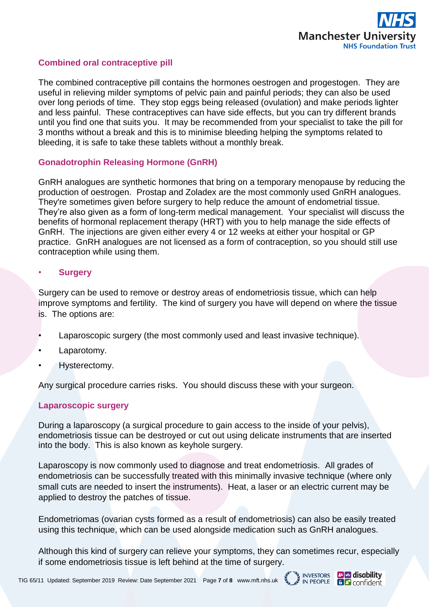

INVESTORS **The disability**<br>IN PEOPLE **B** Confident

### **Combined oral contraceptive pill**

The combined contraceptive pill contains the hormones oestrogen and progestogen. They are useful in relieving milder symptoms of pelvic pain and painful periods; they can also be used over long periods of time. They stop eggs being released (ovulation) and make periods lighter and less painful. These contraceptives can have side effects, but you can try different brands until you find one that suits you. It may be recommended from your specialist to take the pill for 3 months without a break and this is to minimise bleeding helping the symptoms related to bleeding, it is safe to take these tablets without a monthly break.

### **Gonadotrophin Releasing Hormone (GnRH)**

GnRH analogues are synthetic hormones that bring on a temporary menopause by reducing the production of oestrogen. Prostap and Zoladex are the most commonly used GnRH analogues. They're sometimes given before surgery to help reduce the amount of endometrial tissue. They're also given as a form of long-term medical management. Your specialist will discuss the benefits of hormonal replacement therapy (HRT) with you to help manage the side effects of GnRH. The injections are given either every 4 or 12 weeks at either your hospital or GP practice. GnRH analogues are not licensed as a form of contraception, so you should still use contraception while using them.

#### • **Surgery**

Surgery can be used to remove or destroy areas of endometriosis tissue, which can help improve symptoms and fertility. The kind of surgery you have will depend on where the tissue is. The options are:

- Laparoscopic surgery (the most commonly used and least invasive technique).
- Laparotomy.
- Hysterectomy.

Any surgical procedure carries risks. You should discuss these with your surgeon.

#### **Laparoscopic surgery**

During a laparoscopy (a surgical procedure to gain access to the inside of your pelvis), endometriosis tissue can be destroyed or cut out using delicate instruments that are inserted into the body. This is also known as keyhole surgery.

Laparoscopy is now commonly used to diagnose and treat endometriosis. All grades of endometriosis can be successfully treated with this minimally invasive technique (where only small cuts are needed to insert the instruments). Heat, a laser or an electric current may be applied to destroy the patches of tissue.

Endometriomas (ovarian cysts formed as a result of endometriosis) can also be easily treated using this technique, which can be used alongside medication such as GnRH analogues.

Although this kind of surgery can relieve your symptoms, they can sometimes recur, especially if some endometriosis tissue is left behind at the time of surgery.